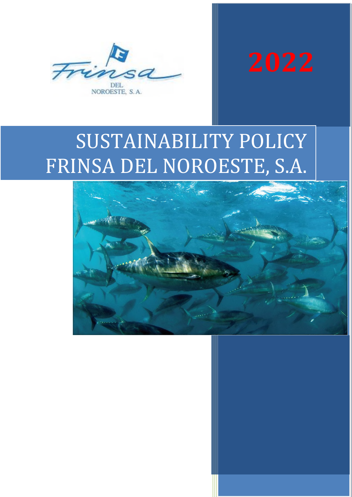



# SUSTAINABILITY POLICY FRINSA DEL NOROESTE, S.A.

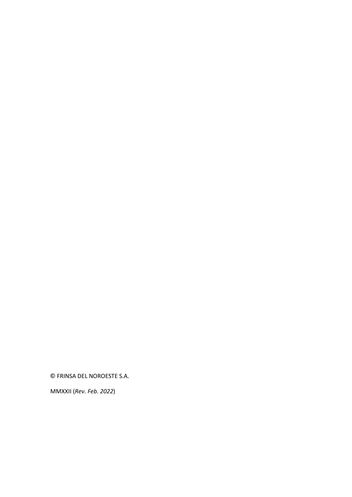**©** FRINSA DEL NOROESTE S.A.

MMXXII (*Rev. Feb. 2022*)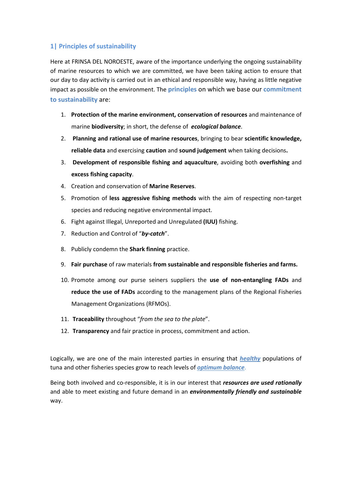#### **1| Principles of sustainability**

Here at FRINSA DEL NOROESTE, aware of the importance underlying the ongoing sustainability of marine resources to which we are committed, we have been taking action to ensure that our day to day activity is carried out in an ethical and responsible way, having as little negative impact as possible on the environment. The **principles** on which we base our **commitment to sustainability** are:

- 1. **Protection of the marine environment, conservation of resources** and maintenance of marine **biodiversity**; in short, the defense of *ecological balance*.
- 2. **Planning and rational use of marine resources**, bringing to bear **scientific knowledge, reliable data** and exercising **caution** and **sound judgement** when taking decisions**.**
- 3. **Development of responsible fishing and aquaculture**, avoiding both **overfishing** and **excess fishing capacity**.
- 4. Creation and conservation of **Marine Reserves**.
- 5. Promotion of **less aggressive fishing methods** with the aim of respecting non-target species and reducing negative environmental impact.
- 6. Fight against Illegal, Unreported and Unregulated **(IUU)** fishing.
- 7. Reduction and Control of "*by-catch*".
- 8. Publicly condemn the **Shark finning** practice.
- 9. **Fair purchase** of raw materials **from sustainable and responsible fisheries and farms.**
- 10. Promote among our purse seiners suppliers the **use of non-entangling FADs** and **reduce the use of FADs** according to the management plans of the Regional Fisheries Management Organizations (RFMOs).
- 11. **Traceability** throughout "*from the sea to the plate*".
- 12. **Transparency** and fair practice in process, commitment and action.

Logically, we are one of the main interested parties in ensuring that *healthy* populations of tuna and other fisheries species grow to reach levels of *optimum balance*.

Being both involved and co-responsible, it is in our interest that *resources are used rationally* and able to meet existing and future demand in an *environmentally friendly and sustainable*  way.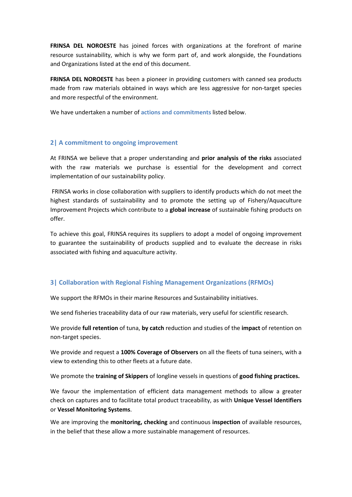**FRINSA DEL NOROESTE** has joined forces with organizations at the forefront of marine resource sustainability, which is why we form part of, and work alongside, the Foundations and Organizations listed at the end of this document.

**FRINSA DEL NOROESTE** has been a pioneer in providing customers with canned sea products made from raw materials obtained in ways which are less aggressive for non-target species and more respectful of the environment.

We have undertaken a number of **actions and commitments** listed below.

#### **2| A commitment to ongoing improvement**

At FRINSA we believe that a proper understanding and **prior analysis of the risks** associated with the raw materials we purchase is essential for the development and correct implementation of our sustainability policy.

 FRINSA works in close collaboration with suppliers to identify products which do not meet the highest standards of sustainability and to promote the setting up of Fishery/Aquaculture Improvement Projects which contribute to a **global increase** of sustainable fishing products on offer.

To achieve this goal, FRINSA requires its suppliers to adopt a model of ongoing improvement to guarantee the sustainability of products supplied and to evaluate the decrease in risks associated with fishing and aquaculture activity.

#### **3| Collaboration with Regional Fishing Management Organizations (RFMOs)**

We support the RFMOs in their marine Resources and Sustainability initiatives.

We send fisheries traceability data of our raw materials, very useful for scientific research.

We provide **full retention** of tuna, **by catch** reduction and studies of the **impact** of retention on non-target species.

We provide and request a **100% Coverage of Observers** on all the fleets of tuna seiners, with a view to extending this to other fleets at a future date.

We promote the **training of Skippers** of longline vessels in questions of **good fishing practices.**

We favour the implementation of efficient data management methods to allow a greater check on captures and to facilitate total product traceability, as with **Unique Vessel Identifiers** or **Vessel Monitoring Systems**.

We are improving the **monitoring, checking** and continuous **inspection** of available resources, in the belief that these allow a more sustainable management of resources.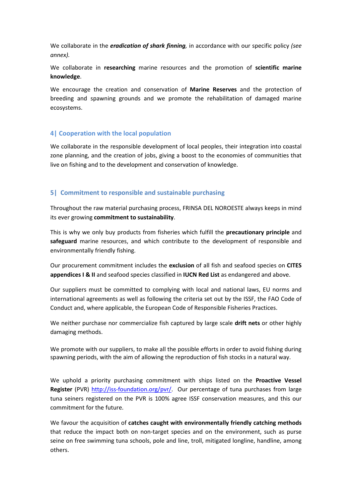We collaborate in the *eradication of shark finning,* in accordance with our specific policy *(see annex).* 

We collaborate in **researching** marine resources and the promotion of **scientific marine knowledge**.

We encourage the creation and conservation of **Marine Reserves** and the protection of breeding and spawning grounds and we promote the rehabilitation of damaged marine ecosystems.

#### **4| Cooperation with the local population**

We collaborate in the responsible development of local peoples, their integration into coastal zone planning, and the creation of jobs, giving a boost to the economies of communities that live on fishing and to the development and conservation of knowledge.

#### **5| Commitment to responsible and sustainable purchasing**

Throughout the raw material purchasing process, FRINSA DEL NOROESTE always keeps in mind its ever growing **commitment to sustainability**.

This is why we only buy products from fisheries which fulfill the **precautionary principle** and **safeguard** marine resources, and which contribute to the development of responsible and environmentally friendly fishing.

Our procurement commitment includes the **exclusion** of all fish and seafood species on **CITES appendices I & II** and seafood species classified in **IUCN Red List** as endangered and above.

Our suppliers must be committed to complying with local and national laws, EU norms and international agreements as well as following the criteria set out by the ISSF, the FAO Code of Conduct and, where applicable, the European Code of Responsible Fisheries Practices.

We neither purchase nor commercialize fish captured by large scale **drift nets** or other highly damaging methods.

We promote with our suppliers, to make all the possible efforts in order to avoid fishing during spawning periods, with the aim of allowing the reproduction of fish stocks in a natural way.

We uphold a priority purchasing commitment with ships listed on the **Proactive Vessel Register** (PVR) http://iss-foundation.org/pvr/. Our percentage of tuna purchases from large tuna seiners registered on the PVR is 100% agree ISSF conservation measures, and this our commitment for the future.

We favour the acquisition of **catches caught with environmentally friendly catching methods** that reduce the impact both on non-target species and on the environment, such as purse seine on free swimming tuna schools, pole and line, troll, mitigated longline, handline, among others.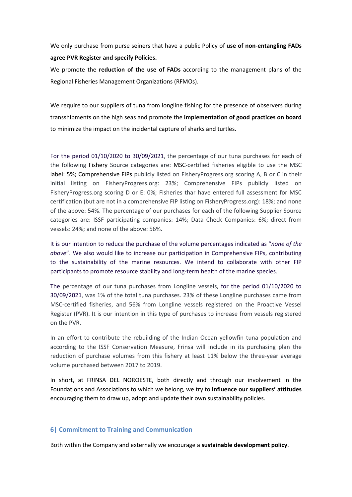We only purchase from purse seiners that have a public Policy of **use of non-entangling FADs agree PVR Register and specify Policies.** 

We promote the **reduction of the use of FADs** according to the management plans of the Regional Fisheries Management Organizations (RFMOs).

We require to our suppliers of tuna from longline fishing for the presence of observers during transshipments on the high seas and promote the **implementation of good practices on board** to minimize the impact on the incidental capture of sharks and turtles.

For the period 01/10/2020 to 30/09/2021, the percentage of our tuna purchases for each of the following Fishery Source categories are: MSC-certified fisheries eligible to use the MSC label: 5%; Comprehensive FIPs publicly listed on FisheryProgress.org scoring A, B or C in their initial listing on FisheryProgress.org: 23%; Comprehensive FIPs publicly listed on FisheryProgress.org scoring D or E: 0%; Fisheries thar have entered full assessment for MSC certification (but are not in a comprehensive FIP listing on FisheryProgress.org): 18%; and none of the above: 54%. The percentage of our purchases for each of the following Supplier Source categories are: ISSF participating companies: 14%; Data Check Companies: 6%; direct from vessels: 24%; and none of the above: 56%.

It is our intention to reduce the purchase of the volume percentages indicated as "*none of the above*". We also would like to increase our participation in Comprehensive FIPs, contributing to the sustainability of the marine resources. We intend to collaborate with other FIP participants to promote resource stability and long-term health of the marine species.

The percentage of our tuna purchases from Longline vessels, for the period 01/10/2020 to 30/09/2021, was 1% of the total tuna purchases. 23% of these Longline purchases came from MSC-certified fisheries, and 56% from Longline vessels registered on the Proactive Vessel Register (PVR). It is our intention in this type of purchases to increase from vessels registered on the PVR.

In an effort to contribute the rebuilding of the Indian Ocean yellowfin tuna population and according to the ISSF Conservation Measure, Frinsa will include in its purchasing plan the reduction of purchase volumes from this fishery at least 11% below the three-year average volume purchased between 2017 to 2019.

In short, at FRINSA DEL NOROESTE, both directly and through our involvement in the Foundations and Associations to which we belong, we try to **influence our suppliers' attitudes** encouraging them to draw up, adopt and update their own sustainability policies.

#### **6| Commitment to Training and Communication**

Both within the Company and externally we encourage a **sustainable development policy**.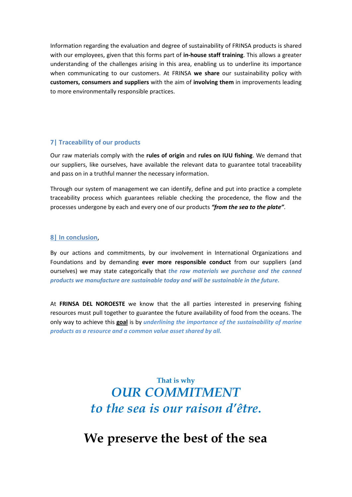Information regarding the evaluation and degree of sustainability of FRINSA products is shared with our employees, given that this forms part of **in-house staff training**. This allows a greater understanding of the challenges arising in this area, enabling us to underline its importance when communicating to our customers. At FRINSA **we share** our sustainability policy with **customers, consumers and suppliers** with the aim of **involving them** in improvements leading to more environmentally responsible practices.

#### **7| Traceability of our products**

Our raw materials comply with the **rules of origin** and **rules on IUU fishing**. We demand that our suppliers, like ourselves, have available the relevant data to guarantee total traceability and pass on in a truthful manner the necessary information.

Through our system of management we can identify, define and put into practice a complete traceability process which guarantees reliable checking the procedence, the flow and the processes undergone by each and every one of our products *"from the sea to the plate"*.

#### **8| In conclusion**,

By our actions and commitments, by our involvement in International Organizations and Foundations and by demanding **ever more responsible conduct** from our suppliers (and ourselves) we may state categorically that *the raw materials we purchase and the canned products we manufacture are sustainable today and will be sustainable in the future.*

At **FRINSA DEL NOROESTE** we know that the all parties interested in preserving fishing resources must pull together to guarantee the future availability of food from the oceans. The only way to achieve this **goal** is by *underlining the importance of the sustainability of marine products as a resource and a common value asset shared by all.*

## **That is why**  *OUR COMMITMENT to the sea is our raison d'être***.**

# **We preserve the best of the sea**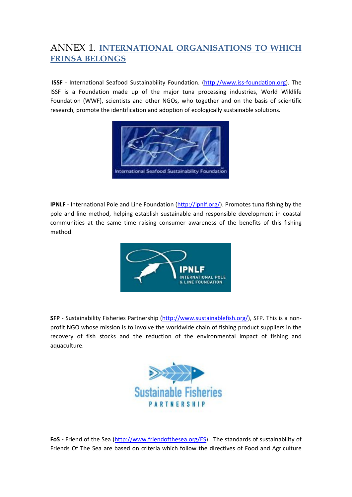### ANNEX 1. **INTERNATIONAL ORGANISATIONS TO WHICH FRINSA BELONGS**

 **ISSF** - International Seafood Sustainability Foundation. (http://www.iss-foundation.org). The ISSF is a Foundation made up of the major tuna processing industries, World Wildlife Foundation (WWF), scientists and other NGOs, who together and on the basis of scientific research, promote the identification and adoption of ecologically sustainable solutions.



**IPNLF** - International Pole and Line Foundation (http://ipnlf.org/). Promotes tuna fishing by the pole and line method, helping establish sustainable and responsible development in coastal communities at the same time raising consumer awareness of the benefits of this fishing method.



SFP - Sustainability Fisheries Partnership (http://www.sustainablefish.org/), SFP. This is a nonprofit NGO whose mission is to involve the worldwide chain of fishing product suppliers in the recovery of fish stocks and the reduction of the environmental impact of fishing and aquaculture.



FoS - Friend of the Sea (http://www.friendofthesea.org/ES). The standards of sustainability of Friends Of The Sea are based on criteria which follow the directives of Food and Agriculture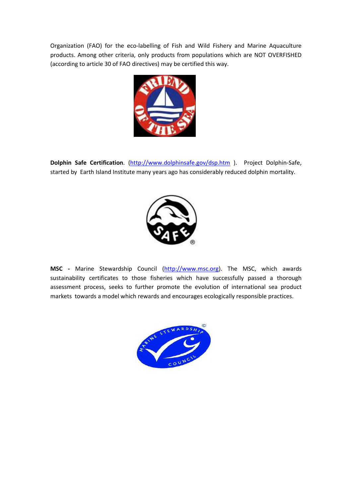Organization (FAO) for the eco-labelling of Fish and Wild Fishery and Marine Aquaculture products. Among other criteria, only products from populations which are NOT OVERFISHED (according to article 30 of FAO directives) may be certified this way.



**Dolphin Safe Certification**. (http://www.dolphinsafe.gov/dsp.htm ). Project Dolphin-Safe, started by Earth Island Institute many years ago has considerably reduced dolphin mortality.



**MSC -** Marine Stewardship Council (http://www.msc.org). The MSC, which awards sustainability certificates to those fisheries which have successfully passed a thorough assessment process, seeks to further promote the evolution of international sea product markets towards a model which rewards and encourages ecologically responsible practices.